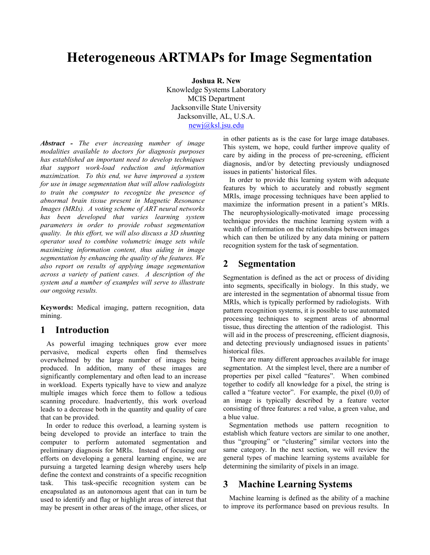# **Heterogeneous ARTMAPs for Image Segmentation**

 **Joshua R. New**  Knowledge Systems Laboratory MCIS Department Jacksonville State University Jacksonville, AL, U.S.A. newj@ksl.jsu.edu

*Abstract - The ever increasing number of image modalities available to doctors for diagnosis purposes has established an important need to develop techniques that support work-load reduction and information maximization. To this end, we have improved a system for use in image segmentation that will allow radiologists to train the computer to recognize the presence of abnormal brain tissue present in Magnetic Resonance Images (MRIs). A voting scheme of ART neural networks has been developed that varies learning system parameters in order to provide robust segmentation quality. In this effort, we will also discuss a 3D shunting operator used to combine volumetric image sets while maximizing information content, thus aiding in image segmentation by enhancing the quality of the features. We also report on results of applying image segmentation across a variety of patient cases. A description of the system and a number of examples will serve to illustrate our ongoing results.* 

**Keywords:** Medical imaging, pattern recognition, data mining.

# **1 Introduction**

 As powerful imaging techniques grow ever more pervasive, medical experts often find themselves overwhelmed by the large number of images being produced. In addition, many of these images are significantly complementary and often lead to an increase in workload. Experts typically have to view and analyze multiple images which force them to follow a tedious scanning procedure. Inadvertently, this work overload leads to a decrease both in the quantity and quality of care that can be provided.

In order to reduce this overload, a learning system is being developed to provide an interface to train the computer to perform automated segmentation and preliminary diagnosis for MRIs. Instead of focusing our efforts on developing a general learning engine, we are pursuing a targeted learning design whereby users help define the context and constraints of a specific recognition task. This task-specific recognition system can be encapsulated as an autonomous agent that can in turn be used to identify and flag or highlight areas of interest that may be present in other areas of the image, other slices, or

in other patients as is the case for large image databases. This system, we hope, could further improve quality of care by aiding in the process of pre-screening, efficient diagnosis, and/or by detecting previously undiagnosed issues in patients' historical files.

 In order to provide this learning system with adequate features by which to accurately and robustly segment MRIs, image processing techniques have been applied to maximize the information present in a patient's MRIs. The neurophysiologically-motivated image processing technique provides the machine learning system with a wealth of information on the relationships between images which can then be utilized by any data mining or pattern recognition system for the task of segmentation.

# **2 Segmentation**

Segmentation is defined as the act or process of dividing into segments, specifically in biology. In this study, we are interested in the segmentation of abnormal tissue from MRIs, which is typically performed by radiologists. With pattern recognition systems, it is possible to use automated processing techniques to segment areas of abnormal tissue, thus directing the attention of the radiologist. This will aid in the process of prescreening, efficient diagnosis, and detecting previously undiagnosed issues in patients' historical files.

 There are many different approaches available for image segmentation. At the simplest level, there are a number of properties per pixel called "features". When combined together to codify all knowledge for a pixel, the string is called a "feature vector". For example, the pixel (0,0) of an image is typically described by a feature vector consisting of three features: a red value, a green value, and a blue value.

 Segmentation methods use pattern recognition to establish which feature vectors are similar to one another, thus "grouping" or "clustering" similar vectors into the same category. In the next section, we will review the general types of machine learning systems available for determining the similarity of pixels in an image.

# **3 Machine Learning Systems**

 Machine learning is defined as the ability of a machine to improve its performance based on previous results. In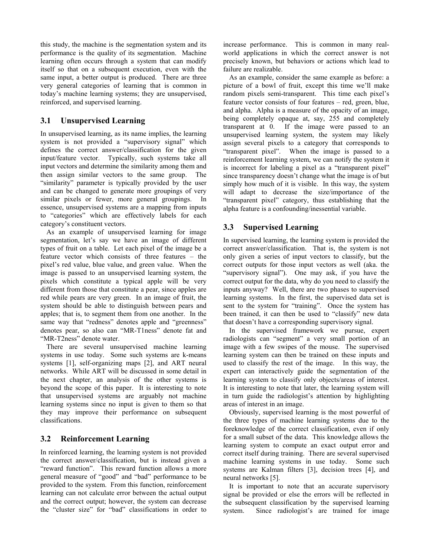this study, the machine is the segmentation system and its performance is the quality of its segmentation. Machine learning often occurs through a system that can modify itself so that on a subsequent execution, even with the same input, a better output is produced. There are three very general categories of learning that is common in today's machine learning systems; they are unsupervised, reinforced, and supervised learning.

### **3.1 Unsupervised Learning**

In unsupervised learning, as its name implies, the learning system is not provided a "supervisory signal" which defines the correct answer/classification for the given input/feature vector. Typically, such systems take all input vectors and determine the similarity among them and then assign similar vectors to the same group. The "similarity" parameter is typically provided by the user and can be changed to generate more groupings of very similar pixels or fewer, more general groupings. In essence, unsupervised systems are a mapping from inputs to "categories" which are effectively labels for each category's constituent vectors.

 As an example of unsupervised learning for image segmentation, let's say we have an image of different types of fruit on a table. Let each pixel of the image be a feature vector which consists of three features – the pixel's red value, blue value, and green value. When the image is passed to an unsupervised learning system, the pixels which constitute a typical apple will be very different from those that constitute a pear, since apples are red while pears are very green. In an image of fruit, the system should be able to distinguish between pears and apples; that is, to segment them from one another. In the same way that "redness" denotes apple and "greenness" denotes pear, so also can "MR-T1ness" denote fat and "MR-T2ness" denote water.

 There are several unsupervised machine learning systems in use today. Some such systems are k-means systems [1], self-organizing maps [2], and ART neural networks. While ART will be discussed in some detail in the next chapter, an analysis of the other systems is beyond the scope of this paper. It is interesting to note that unsupervised systems are arguably not machine learning systems since no input is given to them so that they may improve their performance on subsequent classifications.

### **3.2 Reinforcement Learning**

In reinforced learning, the learning system is not provided the correct answer/classification, but is instead given a "reward function". This reward function allows a more general measure of "good" and "bad" performance to be provided to the system. From this function, reinforcement learning can not calculate error between the actual output and the correct output; however, the system can decrease the "cluster size" for "bad" classifications in order to

increase performance. This is common in many realworld applications in which the correct answer is not precisely known, but behaviors or actions which lead to failure are realizable.

 As an example, consider the same example as before: a picture of a bowl of fruit, except this time we'll make random pixels semi-transparent. This time each pixel's feature vector consists of four features – red, green, blue, and alpha. Alpha is a measure of the opacity of an image, being completely opaque at, say, 255 and completely transparent at 0. If the image were passed to an unsupervised learning system, the system may likely assign several pixels to a category that corresponds to "transparent pixel". When the image is passed to a reinforcement learning system, we can notify the system it is incorrect for labeling a pixel as a "transparent pixel" since transparency doesn't change what the image is of but simply how much of it is visible. In this way, the system will adapt to decrease the size/importance of the "transparent pixel" category, thus establishing that the alpha feature is a confounding/inessential variable.

#### **3.3 Supervised Learning**

In supervised learning, the learning system is provided the correct answer/classification. That is, the system is not only given a series of input vectors to classify, but the correct outputs for those input vectors as well (aka. the "supervisory signal"). One may ask, if you have the correct output for the data, why do you need to classify the inputs anyway? Well, there are two phases to supervised learning systems. In the first, the supervised data set is sent to the system for "training". Once the system has been trained, it can then be used to "classify" new data that doesn't have a corresponding supervisory signal.

 In the supervised framework we pursue, expert radiologists can "segment" a very small portion of an image with a few swipes of the mouse. The supervised learning system can then be trained on these inputs and used to classify the rest of the image. In this way, the expert can interactively guide the segmentation of the learning system to classify only objects/areas of interest. It is interesting to note that later, the learning system will in turn guide the radiologist's attention by highlighting areas of interest in an image.

 Obviously, supervised learning is the most powerful of the three types of machine learning systems due to the foreknowledge of the correct classification, even if only for a small subset of the data. This knowledge allows the learning system to compute an exact output error and correct itself during training. There are several supervised machine learning systems in use today. Some such systems are Kalman filters [3], decision trees [4], and neural networks [5].

 It is important to note that an accurate supervisory signal be provided or else the errors will be reflected in the subsequent classification by the supervised learning system. Since radiologist's are trained for image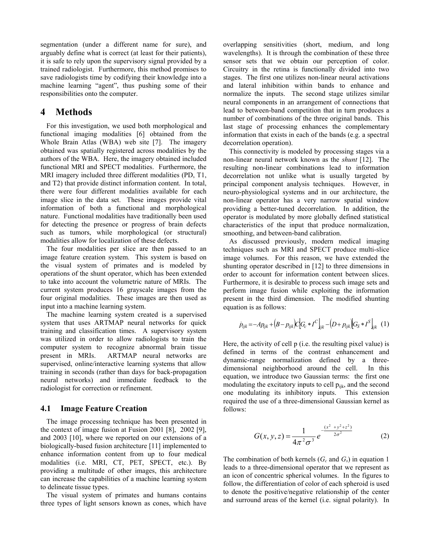segmentation (under a different name for sure), and arguably define what is correct (at least for their patients), it is safe to rely upon the supervisory signal provided by a trained radiologist. Furthermore, this method promises to save radiologists time by codifying their knowledge into a machine learning "agent", thus pushing some of their responsibilities onto the computer.

#### **4 Methods**

 For this investigation, we used both morphological and functional imaging modalities [6] obtained from the Whole Brain Atlas (WBA) web site [7]. The imagery obtained was spatially registered across modalities by the authors of the WBA. Here, the imagery obtained included functional MRI and SPECT modalities. Furthermore, the MRI imagery included three different modalities (PD, T1, and T2) that provide distinct information content. In total, there were four different modalities available for each image slice in the data set. These images provide vital information of both a functional and morphological nature. Functional modalities have traditionally been used for detecting the presence or progress of brain defects such as tumors, while morphological (or structural) modalities allow for localization of these defects.

 The four modalities per slice are then passed to an image feature creation system. This system is based on the visual system of primates and is modeled by operations of the shunt operator, which has been extended to take into account the volumetric nature of MRIs. The current system produces 16 grayscale images from the four original modalities. These images are then used as input into a machine learning system.

 The machine learning system created is a supervised system that uses ARTMAP neural networks for quick training and classification times. A supervisory system was utilized in order to allow radiologists to train the computer system to recognize abnormal brain tissue present in MRIs. ARTMAP neural networks are supervised, online/interactive learning systems that allow training in seconds (rather than days for back-propagation neural networks) and immediate feedback to the radiologist for correction or refinement.

#### **4.1 Image Feature Creation**

The image processing technique has been presented in the context of image fusion at Fusion 2001 [8], 2002 [9], and 2003 [10], where we reported on our extensions of a biologically-based fusion architecture [11] implemented to enhance information content from up to four medical modalities (i.e. MRI, CT, PET, SPECT, etc.). By providing a multitude of other images, this architecture can increase the capabilities of a machine learning system to delineate tissue types.

The visual system of primates and humans contains three types of light sensors known as cones, which have overlapping sensitivities (short, medium, and long wavelengths). It is through the combination of these three sensor sets that we obtain our perception of color. Circuitry in the retina is functionally divided into two stages. The first one utilizes non-linear neural activations and lateral inhibition within bands to enhance and normalize the inputs. The second stage utilizes similar neural components in an arrangement of connections that lead to between-band competition that in turn produces a number of combinations of the three original bands. This last stage of processing enhances the complementary information that exists in each of the bands (e.g. a spectral decorrelation operation).

This connectivity is modeled by processing stages via a non-linear neural network known as the *shunt* [12]. The resulting non-linear combinations lead to information decorrelation not unlike what is usually targeted by principal component analysis techniques. However, in neuro-physiological systems and in our architecture, the non-linear operator has a very narrow spatial window providing a better-tuned decorrelation. In addition, the operator is modulated by more globally defined statistical characteristics of the input that produce normalization, smoothing, and between-band calibration.

As discussed previously, modern medical imaging techniques such as MRI and SPECT produce multi-slice image volumes. For this reason, we have extended the shunting operator described in [12] to three dimensions in order to account for information content between slices. Furthermore, it is desirable to process such image sets and perform image fusion while exploiting the information present in the third dimension. The modified shunting equation is as follows:

$$
\dot{p}_{ijk} = -Ap_{ijk} + (B - p_{ijk})C[G_c * I^C]_{ijk} - (D + p_{ijk})[G_s * I^S]_{ijk} \tag{1}
$$

Here, the activity of cell p (i.e. the resulting pixel value) is defined in terms of the contrast enhancement and dynamic-range normalization defined by a threedimensional neighborhood around the cell. In this equation, we introduce two Gaussian terms: the first one modulating the excitatory inputs to cell  $p_{ijk}$ , and the second one modulating its inhibitory inputs. This extension required the use of a three-dimensional Gaussian kernel as follows:

$$
G(x, y, z) = \frac{1}{4\pi^2 \sigma^3} e^{-\frac{(x^2 + y^2 + z^2)}{2\sigma^2}}
$$
 (2)

The combination of both kernels  $(G_c \text{ and } G_s)$  in equation 1 leads to a three-dimensional operator that we represent as an icon of concentric spherical volumes. In the figures to follow, the differentiation of color of each spheroid is used to denote the positive/negative relationship of the center and surround areas of the kernel (i.e. signal polarity). In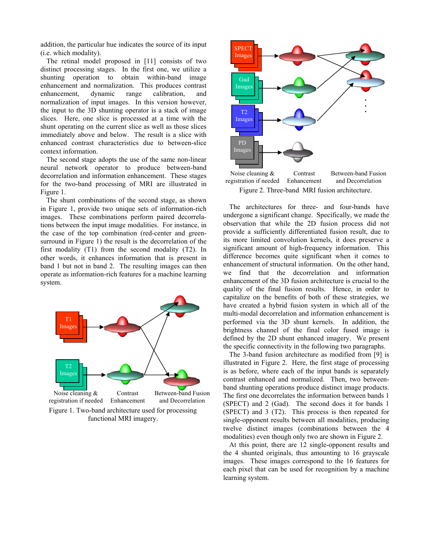addition, the particular hue indicates the source of its input (i.e. which modality).

The retinal model proposed in [11] consists of two distinct processing stages. In the first one, we utilize a shunting operation to obtain within-band image enhancement and normalization. This produces contrast enhancement, dynamic range calibration, and normalization of input images. In this version however, the input to the 3D shunting operator is a stack of image slices. Here, one slice is processed at a time with the shunt operating on the current slice as well as those slices immediately above and below. The result is a slice with enhanced contrast characteristics due to between-slice context information.

The second stage adopts the use of the same non-linear neural network operator to produce between-band decorrelation and information enhancement. These stages for the two-band processing of MRI are illustrated in Figure 1.

The shunt combinations of the second stage, as shown in Figure 1, provide two unique sets of information-rich images. These combinations perform paired decorrelations between the input image modalities. For instance, in the case of the top combination (red-center and greensurround in Figure 1) the result is the decorrelation of the first modality (T1) from the second modality (T2). In other words, it enhances information that is present in band 1 but not in band 2. The resulting images can then operate as information-rich features for a machine learning system.



Figure 1. Two-band architecture used for processing functional MRI imagery.



Figure 2. Three-band MRI fusion architecture.

The architectures for three- and four-bands have undergone a significant change. Specifically, we made the observation that while the 2D fusion process did not provide a sufficiently differentiated fusion result, due to its more limited convolution kernels, it does preserve a significant amount of high-frequency information. This difference becomes quite significant when it comes to enhancement of structural information. On the other hand, we find that the decorrelation and information enhancement of the 3D fusion architecture is crucial to the quality of the final fusion results. Hence, in order to capitalize on the benefits of both of these strategies, we have created a hybrid fusion system in which all of the multi-modal decorrelation and information enhancement is performed via the 3D shunt kernels. In addition, the brightness channel of the final color fused image is defined by the 2D shunt enhanced imagery. We present the specific connectivity in the following two paragraphs.

The 3-band fusion architecture as modified from [9] is illustrated in Figure 2. Here, the first stage of processing is as before, where each of the input bands is separately contrast enhanced and normalized. Then, two betweenband shunting operations produce distinct image products. The first one decorrelates the information between bands 1 (SPECT) and 2 (Gad). The second does it for bands 1 (SPECT) and 3 (T2). This process is then repeated for single-opponent results between all modalities, producing twelve distinct images (combinations between the 4 modalities) even though only two are shown in Figure 2.

At this point, there are 12 single-opponent results and the 4 shunted originals, thus amounting to 16 grayscale images. These images correspond to the 16 features for each pixel that can be used for recognition by a machine learning system.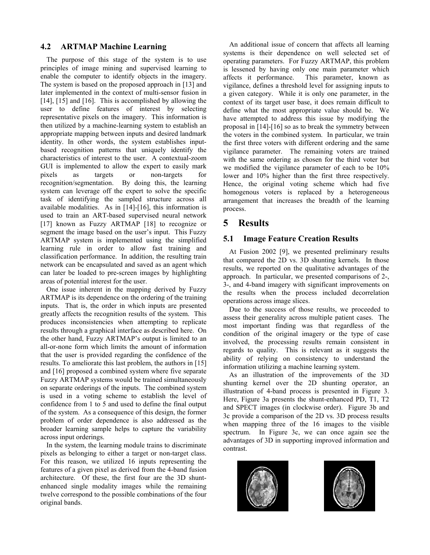#### **4.2 ARTMAP Machine Learning**

 The purpose of this stage of the system is to use principles of image mining and supervised learning to enable the computer to identify objects in the imagery. The system is based on the proposed approach in [13] and later implemented in the context of multi-sensor fusion in [14], [15] and [16]. This is accomplished by allowing the user to define features of interest by selecting representative pixels on the imagery. This information is then utilized by a machine-learning system to establish an appropriate mapping between inputs and desired landmark identity. In other words, the system establishes inputbased recognition patterns that uniquely identify the characteristics of interest to the user. A contextual-zoom GUI is implemented to allow the expert to easily mark pixels as targets or non-targets for recognition/segmentation. By doing this, the learning system can leverage off the expert to solve the specific task of identifying the sampled structure across all available modalities. As in [14]-[16], this information is used to train an ART-based supervised neural network [17] known as Fuzzy ARTMAP [18] to recognize or segment the image based on the user's input. This Fuzzy ARTMAP system is implemented using the simplified learning rule in order to allow fast training and classification performance. In addition, the resulting train network can be encapsulated and saved as an agent which can later be loaded to pre-screen images by highlighting areas of potential interest for the user.

One issue inherent in the mapping derived by Fuzzy ARTMAP is its dependence on the ordering of the training inputs. That is, the order in which inputs are presented greatly affects the recognition results of the system. This produces inconsistencies when attempting to replicate results through a graphical interface as described here. On the other hand, Fuzzy ARTMAP's output is limited to an all-or-none form which limits the amount of information that the user is provided regarding the confidence of the results. To ameliorate this last problem, the authors in [15] and [16] proposed a combined system where five separate Fuzzy ARTMAP systems would be trained simultaneously on separate orderings of the inputs. The combined system is used in a voting scheme to establish the level of confidence from 1 to 5 and used to define the final output of the system. As a consequence of this design, the former problem of order dependence is also addressed as the broader learning sample helps to capture the variability across input orderings.

In the system, the learning module trains to discriminate pixels as belonging to either a target or non-target class. For this reason, we utilized 16 inputs representing the features of a given pixel as derived from the 4-band fusion architecture. Of these, the first four are the 3D shuntenhanced single modality images while the remaining twelve correspond to the possible combinations of the four original bands.

An additional issue of concern that affects all learning systems is their dependence on well selected set of operating parameters. For Fuzzy ARTMAP, this problem is lessened by having only one main parameter which affects it performance. This parameter, known as vigilance, defines a threshold level for assigning inputs to a given category. While it is only one parameter, in the context of its target user base, it does remain difficult to define what the most appropriate value should be. We have attempted to address this issue by modifying the proposal in [14]-[16] so as to break the symmetry between the voters in the combined system. In particular, we train the first three voters with different ordering and the same vigilance parameter. The remaining voters are trained with the same ordering as chosen for the third voter but we modified the vigilance parameter of each to be 10% lower and 10% higher than the first three respectively. Hence, the original voting scheme which had five homogenous voters is replaced by a heterogeneous arrangement that increases the breadth of the learning process.

# **5 Results**

### **5.1 Image Feature Creation Results**

At Fusion 2002 [9], we presented preliminary results that compared the 2D vs. 3D shunting kernels. In those results, we reported on the qualitative advantages of the approach. In particular, we presented comparisons of 2-, 3-, and 4-band imagery with significant improvements on the results when the process included decorrelation operations across image slices.

Due to the success of those results, we proceeded to assess their generality across multiple patient cases. The most important finding was that regardless of the condition of the original imagery or the type of case involved, the processing results remain consistent in regards to quality. This is relevant as it suggests the ability of relying on consistency to understand the information utilizing a machine learning system.

As an illustration of the improvements of the 3D shunting kernel over the 2D shunting operator, an illustration of 4-band process is presented in Figure 3. Here, Figure 3a presents the shunt-enhanced PD, T1, T2 and SPECT images (in clockwise order). Figure 3b and 3c provide a comparison of the 2D vs. 3D process results when mapping three of the 16 images to the visible spectrum. In Figure 3c, we can once again see the advantages of 3D in supporting improved information and contrast.



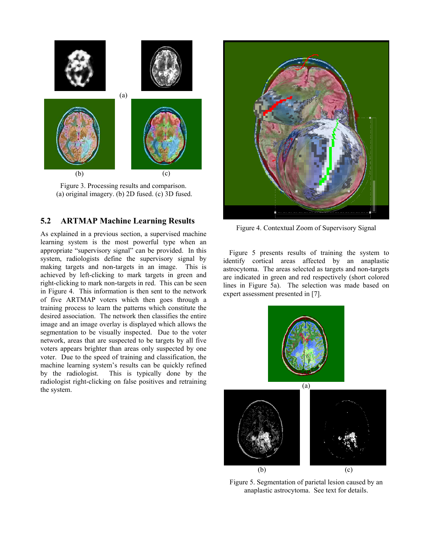

Figure 3. Processing results and comparison. (a) original imagery. (b) 2D fused. (c) 3D fused.

#### **5.2 ARTMAP Machine Learning Results**

As explained in a previous section, a supervised machine learning system is the most powerful type when an appropriate "supervisory signal" can be provided. In this system, radiologists define the supervisory signal by making targets and non-targets in an image. This is achieved by left-clicking to mark targets in green and right-clicking to mark non-targets in red. This can be seen in Figure 4. This information is then sent to the network of five ARTMAP voters which then goes through a training process to learn the patterns which constitute the desired association. The network then classifies the entire image and an image overlay is displayed which allows the segmentation to be visually inspected. Due to the voter network, areas that are suspected to be targets by all five voters appears brighter than areas only suspected by one voter. Due to the speed of training and classification, the machine learning system's results can be quickly refined by the radiologist. This is typically done by the radiologist right-clicking on false positives and retraining the system.



Figure 4. Contextual Zoom of Supervisory Signal

Figure 5 presents results of training the system to identify cortical areas affected by an anaplastic astrocytoma. The areas selected as targets and non-targets are indicated in green and red respectively (short colored lines in Figure 5a). The selection was made based on expert assessment presented in [7].



Figure 5. Segmentation of parietal lesion caused by an anaplastic astrocytoma. See text for details.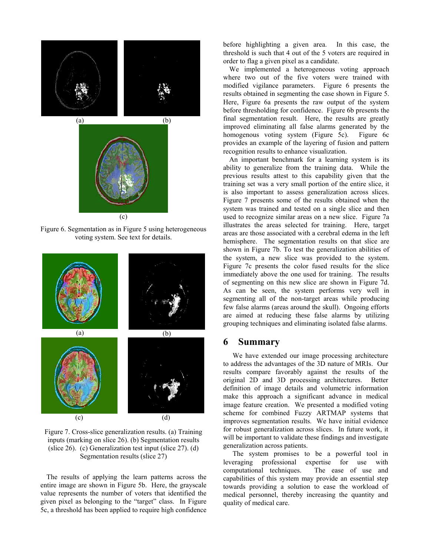

Figure 6. Segmentation as in Figure 5 using heterogeneous voting system. See text for details.



Figure 7. Cross-slice generalization results. (a) Training inputs (marking on slice 26). (b) Segmentation results (slice 26). (c) Generalization test input (slice 27). (d) Segmentation results (slice 27)

The results of applying the learn patterns across the entire image are shown in Figure 5b. Here, the grayscale value represents the number of voters that identified the given pixel as belonging to the "target" class. In Figure 5c, a threshold has been applied to require high confidence before highlighting a given area. In this case, the threshold is such that 4 out of the 5 voters are required in order to flag a given pixel as a candidate.

We implemented a heterogeneous voting approach where two out of the five voters were trained with modified vigilance parameters. Figure 6 presents the results obtained in segmenting the case shown in Figure 5. Here, Figure 6a presents the raw output of the system before thresholding for confidence. Figure 6b presents the final segmentation result. Here, the results are greatly improved eliminating all false alarms generated by the homogenous voting system (Figure 5c). Figure 6c provides an example of the layering of fusion and pattern recognition results to enhance visualization.

An important benchmark for a learning system is its ability to generalize from the training data. While the previous results attest to this capability given that the training set was a very small portion of the entire slice, it is also important to assess generalization across slices. Figure 7 presents some of the results obtained when the system was trained and tested on a single slice and then used to recognize similar areas on a new slice. Figure 7a illustrates the areas selected for training. Here, target areas are those associated with a cerebral edema in the left hemisphere. The segmentation results on that slice are shown in Figure 7b. To test the generalization abilities of the system, a new slice was provided to the system. Figure 7c presents the color fused results for the slice immediately above the one used for training. The results of segmenting on this new slice are shown in Figure 7d. As can be seen, the system performs very well in segmenting all of the non-target areas while producing few false alarms (areas around the skull). Ongoing efforts are aimed at reducing these false alarms by utilizing grouping techniques and eliminating isolated false alarms.

#### **6 Summary**

 We have extended our image processing architecture to address the advantages of the 3D nature of MRIs. Our results compare favorably against the results of the original 2D and 3D processing architectures. Better definition of image details and volumetric information make this approach a significant advance in medical image feature creation. We presented a modified voting scheme for combined Fuzzy ARTMAP systems that improves segmentation results. We have initial evidence for robust generalization across slices. In future work, it will be important to validate these findings and investigate generalization across patients.

 The system promises to be a powerful tool in leveraging professional expertise for use with computational techniques. The ease of use and capabilities of this system may provide an essential step towards providing a solution to ease the workload of medical personnel, thereby increasing the quantity and quality of medical care.